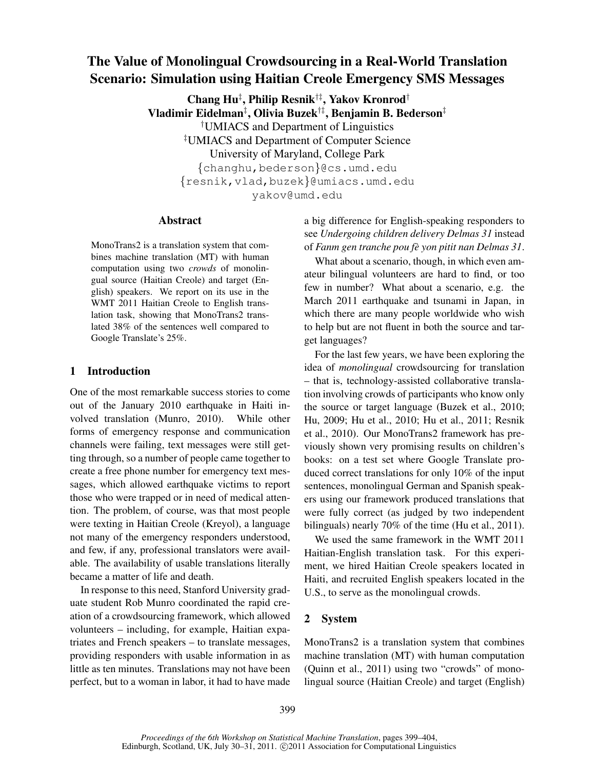# The Value of Monolingual Crowdsourcing in a Real-World Translation Scenario: Simulation using Haitian Creole Emergency SMS Messages

Chang Hu‡ , Philip Resnik†‡, Yakov Kronrod† Vladimir Eidelman‡ , Olivia Buzek†‡, Benjamin B. Bederson‡ †UMIACS and Department of Linguistics ‡UMIACS and Department of Computer Science University of Maryland, College Park {changhu,bederson}@cs.umd.edu {resnik,vlad,buzek}@umiacs.umd.edu yakov@umd.edu

#### Abstract

MonoTrans2 is a translation system that combines machine translation (MT) with human computation using two *crowds* of monolingual source (Haitian Creole) and target (English) speakers. We report on its use in the WMT 2011 Haitian Creole to English translation task, showing that MonoTrans2 translated 38% of the sentences well compared to Google Translate's 25%.

# 1 Introduction

One of the most remarkable success stories to come out of the January 2010 earthquake in Haiti involved translation (Munro, 2010). While other forms of emergency response and communication channels were failing, text messages were still getting through, so a number of people came together to create a free phone number for emergency text messages, which allowed earthquake victims to report those who were trapped or in need of medical attention. The problem, of course, was that most people were texting in Haitian Creole (Kreyol), a language not many of the emergency responders understood, and few, if any, professional translators were available. The availability of usable translations literally became a matter of life and death.

In response to this need, Stanford University graduate student Rob Munro coordinated the rapid creation of a crowdsourcing framework, which allowed volunteers – including, for example, Haitian expatriates and French speakers – to translate messages, providing responders with usable information in as little as ten minutes. Translations may not have been perfect, but to a woman in labor, it had to have made a big difference for English-speaking responders to see *Undergoing children delivery Delmas 31* instead of *Fanm gen tranche pou fe yon pitit nan Delmas 31 `* .

What about a scenario, though, in which even amateur bilingual volunteers are hard to find, or too few in number? What about a scenario, e.g. the March 2011 earthquake and tsunami in Japan, in which there are many people worldwide who wish to help but are not fluent in both the source and target languages?

For the last few years, we have been exploring the idea of *monolingual* crowdsourcing for translation – that is, technology-assisted collaborative translation involving crowds of participants who know only the source or target language (Buzek et al., 2010; Hu, 2009; Hu et al., 2010; Hu et al., 2011; Resnik et al., 2010). Our MonoTrans2 framework has previously shown very promising results on children's books: on a test set where Google Translate produced correct translations for only 10% of the input sentences, monolingual German and Spanish speakers using our framework produced translations that were fully correct (as judged by two independent bilinguals) nearly 70% of the time (Hu et al., 2011).

We used the same framework in the WMT 2011 Haitian-English translation task. For this experiment, we hired Haitian Creole speakers located in Haiti, and recruited English speakers located in the U.S., to serve as the monolingual crowds.

# 2 System

MonoTrans2 is a translation system that combines machine translation (MT) with human computation (Quinn et al., 2011) using two "crowds" of monolingual source (Haitian Creole) and target (English)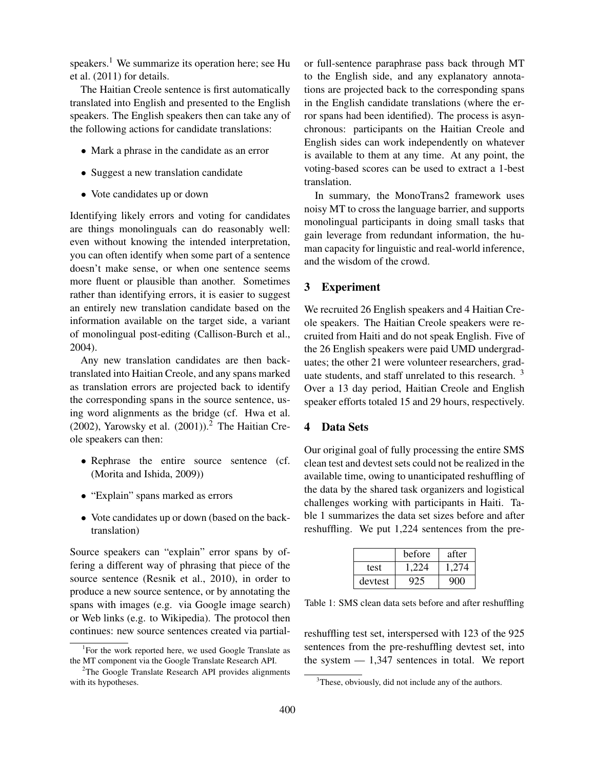speakers.<sup>1</sup> We summarize its operation here; see Hu et al. (2011) for details.

The Haitian Creole sentence is first automatically translated into English and presented to the English speakers. The English speakers then can take any of the following actions for candidate translations:

- Mark a phrase in the candidate as an error
- Suggest a new translation candidate
- Vote candidates up or down

Identifying likely errors and voting for candidates are things monolinguals can do reasonably well: even without knowing the intended interpretation, you can often identify when some part of a sentence doesn't make sense, or when one sentence seems more fluent or plausible than another. Sometimes rather than identifying errors, it is easier to suggest an entirely new translation candidate based on the information available on the target side, a variant of monolingual post-editing (Callison-Burch et al., 2004).

Any new translation candidates are then backtranslated into Haitian Creole, and any spans marked as translation errors are projected back to identify the corresponding spans in the source sentence, using word alignments as the bridge (cf. Hwa et al. (2002), Yarowsky et al. (2001)).<sup>2</sup> The Haitian Creole speakers can then:

- Rephrase the entire source sentence (cf. (Morita and Ishida, 2009))
- "Explain" spans marked as errors
- Vote candidates up or down (based on the backtranslation)

Source speakers can "explain" error spans by offering a different way of phrasing that piece of the source sentence (Resnik et al., 2010), in order to produce a new source sentence, or by annotating the spans with images (e.g. via Google image search) or Web links (e.g. to Wikipedia). The protocol then continues: new source sentences created via partialor full-sentence paraphrase pass back through MT to the English side, and any explanatory annotations are projected back to the corresponding spans in the English candidate translations (where the error spans had been identified). The process is asynchronous: participants on the Haitian Creole and English sides can work independently on whatever is available to them at any time. At any point, the voting-based scores can be used to extract a 1-best translation.

In summary, the MonoTrans2 framework uses noisy MT to cross the language barrier, and supports monolingual participants in doing small tasks that gain leverage from redundant information, the human capacity for linguistic and real-world inference, and the wisdom of the crowd.

## 3 Experiment

We recruited 26 English speakers and 4 Haitian Creole speakers. The Haitian Creole speakers were recruited from Haiti and do not speak English. Five of the 26 English speakers were paid UMD undergraduates; the other 21 were volunteer researchers, graduate students, and staff unrelated to this research.  $3$ Over a 13 day period, Haitian Creole and English speaker efforts totaled 15 and 29 hours, respectively.

# 4 Data Sets

Our original goal of fully processing the entire SMS clean test and devtest sets could not be realized in the available time, owing to unanticipated reshuffling of the data by the shared task organizers and logistical challenges working with participants in Haiti. Table 1 summarizes the data set sizes before and after reshuffling. We put 1,224 sentences from the pre-

|         | before | after |
|---------|--------|-------|
| test    | 1 224  | 1.274 |
| devtest | 925    | 900   |

Table 1: SMS clean data sets before and after reshuffling

reshuffling test set, interspersed with 123 of the 925 sentences from the pre-reshuffling devtest set, into the system  $-1,347$  sentences in total. We report

<sup>&</sup>lt;sup>1</sup>For the work reported here, we used Google Translate as the MT component via the Google Translate Research API.

<sup>&</sup>lt;sup>2</sup>The Google Translate Research API provides alignments with its hypotheses.

<sup>&</sup>lt;sup>3</sup>These, obviously, did not include any of the authors.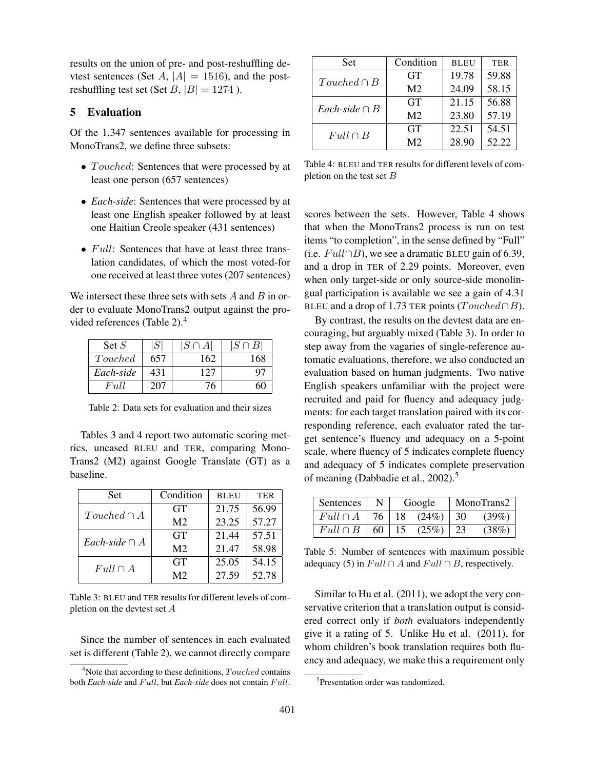results on the union of pre- and post-reshuffling devtest sentences (Set A,  $|A| = 1516$ ), and the postreshuffling test set (Set  $B$ ,  $|B| = 1274$ ).

# 5 Evaluation

Of the 1,347 sentences available for processing in MonoTrans2, we define three subsets:

- Touched: Sentences that were processed by at least one person (657 sentences)
- *Each-side*: Sentences that were processed by at least one English speaker followed by at least one Haitian Creole speaker (431 sentences)
- $Full:$  Sentences that have at least three translation candidates, of which the most voted-for one received at least three votes (207 sentences)

We intersect these three sets with sets  $A$  and  $B$  in order to evaluate MonoTrans2 output against the provided references (Table 2).<sup>4</sup>

| Set $S$   | S   | $ S \cap A $ | $ S \cap B $ |
|-----------|-----|--------------|--------------|
| Touched   | 657 | 162          | 168          |
| Each-side | 431 | 127          |              |
| Full      | 207 |              |              |

Table 2: Data sets for evaluation and their sizes

Tables 3 and 4 report two automatic scoring metrics, uncased BLEU and TER, comparing Mono-Trans2 (M2) against Google Translate (GT) as a baseline.

| <b>Set</b>         | Condition      | <b>BLEU</b> | <b>TER</b> |
|--------------------|----------------|-------------|------------|
| $Touched \cap A$   | <b>GT</b>      | 21.75       | 56.99      |
|                    | M <sub>2</sub> | 23.25       | 57.27      |
| Each-side $\cap A$ | <b>GT</b>      | 21.44       | 57.51      |
|                    | M <sub>2</sub> | 21.47       | 58.98      |
| $Full \cap A$      | <b>GT</b>      | 25.05       | 54.15      |
|                    | M <sub>2</sub> | 27.59       | 52.78      |

Table 3: BLEU and TER results for different levels of completion on the devtest set A

Since the number of sentences in each evaluated set is different (Table 2), we cannot directly compare

| <b>Set</b>         | Condition      | <b>BLEU</b> | <b>TER</b> |
|--------------------|----------------|-------------|------------|
| $Touched \cap B$   | <b>GT</b>      | 19.78       | 59.88      |
|                    | M <sub>2</sub> | 24.09       | 58.15      |
| Each-side $\cap B$ | GT             | 21.15       | 56.88      |
|                    | M <sub>2</sub> | 23.80       | 57.19      |
| $Full \cap B$      | GT             | 22.51       | 54.51      |
|                    | M <sub>2</sub> | 28.90       | 52.22      |

Table 4: BLEU and TER results for different levels of completion on the test set  $B$ 

scores between the sets. However, Table 4 shows that when the MonoTrans2 process is run on test items "to completion", in the sense defined by "Full" (i.e.  $Full \cap B$ ), we see a dramatic BLEU gain of 6.39, and a drop in TER of 2.29 points. Moreover, even when only target-side or only source-side monolingual participation is available we see a gain of 4.31 BLEU and a drop of 1.73 TER points ( $To uched \cap B$ ).

By contrast, the results on the devtest data are encouraging, but arguably mixed (Table 3). In order to step away from the vagaries of single-reference automatic evaluations, therefore, we also conducted an evaluation based on human judgments. Two native English speakers unfamiliar with the project were recruited and paid for fluency and adequacy judgments: for each target translation paired with its corresponding reference, each evaluator rated the target sentence's fluency and adequacy on a 5-point scale, where fluency of 5 indicates complete fluency and adequacy of 5 indicates complete preservation of meaning (Dabbadie et al., 2002).<sup>5</sup>

| Sentences     | N  | Google |       |    | MonoTrans2 |
|---------------|----|--------|-------|----|------------|
| $Full \cap A$ | 76 | 18.    | (24%) | 30 | $(39\%)$   |
| $Full \cap B$ | 60 |        | (25%) | 23 | (38%)      |

Table 5: Number of sentences with maximum possible adequacy (5) in  $Full \cap A$  and  $Full \cap B$ , respectively.

Similar to Hu et al. (2011), we adopt the very conservative criterion that a translation output is considered correct only if *both* evaluators independently give it a rating of 5. Unlike Hu et al. (2011), for whom children's book translation requires both fluency and adequacy, we make this a requirement only

 $4$ Note that according to these definitions,  $Touched$  contains both *Each-side* and *Full*, but *Each-side* does not contain *Full*.

<sup>5</sup> Presentation order was randomized.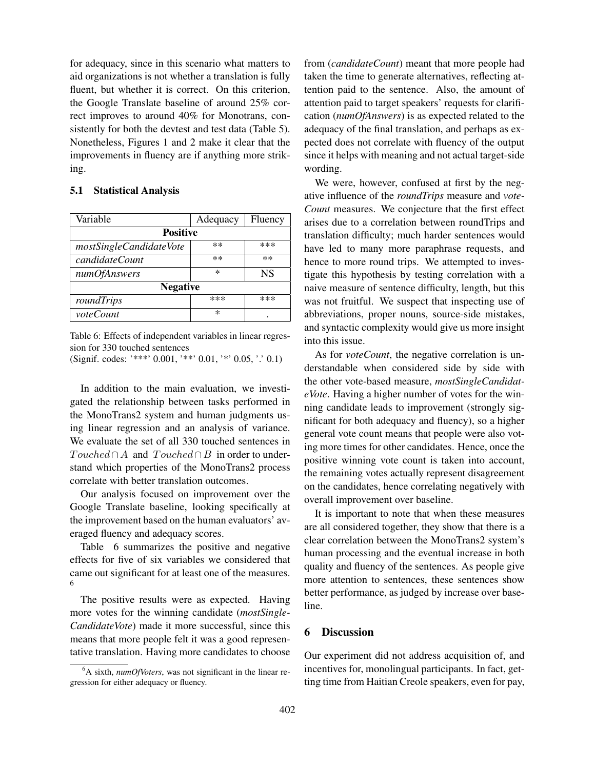for adequacy, since in this scenario what matters to aid organizations is not whether a translation is fully fluent, but whether it is correct. On this criterion, the Google Translate baseline of around 25% correct improves to around 40% for Monotrans, consistently for both the devtest and test data (Table 5). Nonetheless, Figures 1 and 2 make it clear that the improvements in fluency are if anything more striking.

#### 5.1 Statistical Analysis

| Variable                | Adequacy | Fluency   |  |  |
|-------------------------|----------|-----------|--|--|
| <b>Positive</b>         |          |           |  |  |
| mostSingleCandidateVote | $***$    | ***       |  |  |
| candidateCount          | $**$     | $**$      |  |  |
| <i>numOfAnswers</i>     | $\ast$   | <b>NS</b> |  |  |
| <b>Negative</b>         |          |           |  |  |
| roundTrips              | $***$    | ***       |  |  |
| <i>voteCount</i>        | $\ast$   |           |  |  |

Table 6: Effects of independent variables in linear regression for 330 touched sentences

(Signif. codes: '\*\*\*' 0.001, '\*\*' 0.01, '\*' 0.05, '.' 0.1)

In addition to the main evaluation, we investigated the relationship between tasks performed in the MonoTrans2 system and human judgments using linear regression and an analysis of variance. We evaluate the set of all 330 touched sentences in  $To uched ∩ A$  and  $To uched ∩ B$  in order to understand which properties of the MonoTrans2 process correlate with better translation outcomes.

Our analysis focused on improvement over the Google Translate baseline, looking specifically at the improvement based on the human evaluators' averaged fluency and adequacy scores.

Table 6 summarizes the positive and negative effects for five of six variables we considered that came out significant for at least one of the measures. 6

The positive results were as expected. Having more votes for the winning candidate (*mostSingle-CandidateVote*) made it more successful, since this means that more people felt it was a good representative translation. Having more candidates to choose

from (*candidateCount*) meant that more people had taken the time to generate alternatives, reflecting attention paid to the sentence. Also, the amount of attention paid to target speakers' requests for clarification (*numOfAnswers*) is as expected related to the adequacy of the final translation, and perhaps as expected does not correlate with fluency of the output since it helps with meaning and not actual target-side wording.

We were, however, confused at first by the negative influence of the *roundTrips* measure and *vote-Count* measures. We conjecture that the first effect arises due to a correlation between roundTrips and translation difficulty; much harder sentences would have led to many more paraphrase requests, and hence to more round trips. We attempted to investigate this hypothesis by testing correlation with a naive measure of sentence difficulty, length, but this was not fruitful. We suspect that inspecting use of abbreviations, proper nouns, source-side mistakes, and syntactic complexity would give us more insight into this issue.

As for *voteCount*, the negative correlation is understandable when considered side by side with the other vote-based measure, *mostSingleCandidateVote*. Having a higher number of votes for the winning candidate leads to improvement (strongly significant for both adequacy and fluency), so a higher general vote count means that people were also voting more times for other candidates. Hence, once the positive winning vote count is taken into account, the remaining votes actually represent disagreement on the candidates, hence correlating negatively with overall improvement over baseline.

It is important to note that when these measures are all considered together, they show that there is a clear correlation between the MonoTrans2 system's human processing and the eventual increase in both quality and fluency of the sentences. As people give more attention to sentences, these sentences show better performance, as judged by increase over baseline.

# 6 Discussion

Our experiment did not address acquisition of, and incentives for, monolingual participants. In fact, getting time from Haitian Creole speakers, even for pay,

<sup>6</sup>A sixth, *numOfVoters*, was not significant in the linear regression for either adequacy or fluency.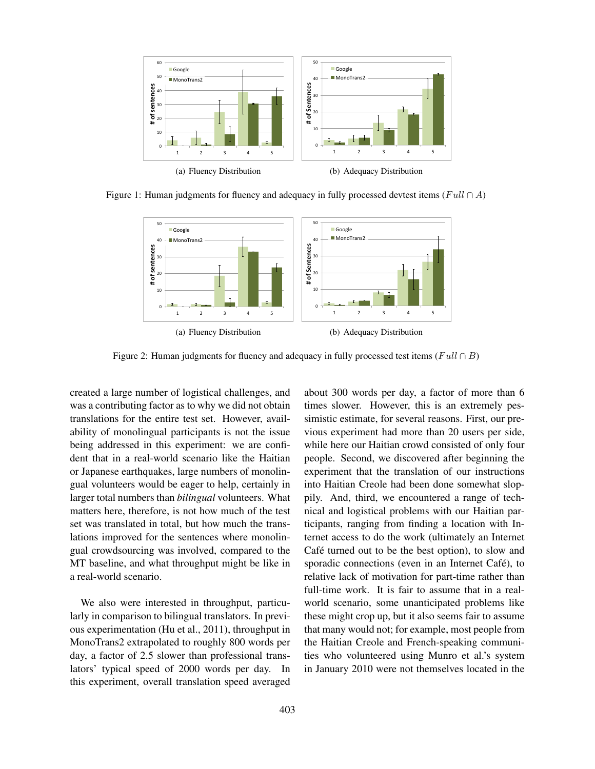

Figure 1: Human judgments for fluency and adequacy in fully processed devtest items (Full ∩ A)



Figure 2: Human judgments for fluency and adequacy in fully processed test items ( $Full \cap B$ )

created a large number of logistical challenges, and was a contributing factor as to why we did not obtain translations for the entire test set. However, availability of monolingual participants is not the issue being addressed in this experiment: we are confident that in a real-world scenario like the Haitian or Japanese earthquakes, large numbers of monolingual volunteers would be eager to help, certainly in larger total numbers than *bilingual* volunteers. What matters here, therefore, is not how much of the test set was translated in total, but how much the translations improved for the sentences where monolingual crowdsourcing was involved, compared to the MT baseline, and what throughput might be like in a real-world scenario.

We also were interested in throughput, particularly in comparison to bilingual translators. In previous experimentation (Hu et al., 2011), throughput in MonoTrans2 extrapolated to roughly 800 words per day, a factor of 2.5 slower than professional translators' typical speed of 2000 words per day. In this experiment, overall translation speed averaged about 300 words per day, a factor of more than 6 times slower. However, this is an extremely pessimistic estimate, for several reasons. First, our previous experiment had more than 20 users per side, while here our Haitian crowd consisted of only four people. Second, we discovered after beginning the experiment that the translation of our instructions into Haitian Creole had been done somewhat sloppily. And, third, we encountered a range of technical and logistical problems with our Haitian participants, ranging from finding a location with Internet access to do the work (ultimately an Internet Café turned out to be the best option), to slow and sporadic connections (even in an Internet Café), to relative lack of motivation for part-time rather than full-time work. It is fair to assume that in a realworld scenario, some unanticipated problems like these might crop up, but it also seems fair to assume that many would not; for example, most people from the Haitian Creole and French-speaking communities who volunteered using Munro et al.'s system in January 2010 were not themselves located in the